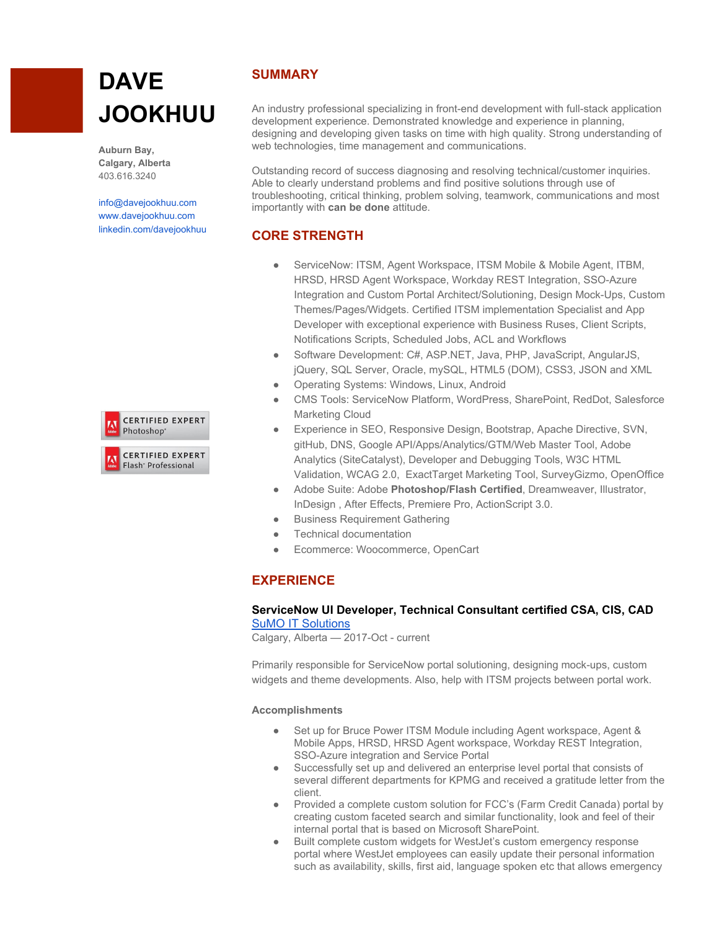# **DAVE JOOKHUU**

**Auburn Bay, Calgary, Alberta** 403.616.3240

[info@davejookhuu.com](mailto:info@davejookhuu.com) [www.davejookhuu.com](http://www.davejookhuu.com/) [linkedin.com/davejookhuu](https://ca.linkedin.com/in/dave-jookhuu-b9b24541)



# **SUMMARY**

An industry professional specializing in front-end development with full-stack application development experience. Demonstrated knowledge and experience in planning, designing and developing given tasks on time with high quality. Strong understanding of web technologies, time management and communications.

Outstanding record of success diagnosing and resolving technical/customer inquiries. Able to clearly understand problems and find positive solutions through use of troubleshooting, critical thinking, problem solving, teamwork, communications and most importantly with **can be done** attitude.

# **CORE STRENGTH**

- ServiceNow: ITSM, Agent Workspace, ITSM Mobile & Mobile Agent, ITBM, HRSD, HRSD Agent Workspace, Workday REST Integration, SSO-Azure Integration and Custom Portal Architect/Solutioning, Design Mock-Ups, Custom Themes/Pages/Widgets. Certified ITSM implementation Specialist and App Developer with exceptional experience with Business Ruses, Client Scripts, Notifications Scripts, Scheduled Jobs, ACL and Workflows
- Software Development: C#, ASP.NET, Java, PHP, JavaScript, AngularJS, jQuery, SQL Server, Oracle, mySQL, HTML5 (DOM), CSS3, JSON and XML
- Operating Systems: Windows, Linux, Android
- CMS Tools: ServiceNow Platform, WordPress, SharePoint, RedDot, Salesforce Marketing Cloud
- Experience in SEO, Responsive Design, Bootstrap, Apache Directive, SVN, gitHub, DNS, Google API/Apps/Analytics/GTM/Web Master Tool, Adobe Analytics (SiteCatalyst), Developer and Debugging Tools, W3C HTML Validation, WCAG 2.0, ExactTarget Marketing Tool, SurveyGizmo, OpenOffice
- Adobe Suite: Adobe **Photoshop/Flash Certified**, Dreamweaver, Illustrator, InDesign , After Effects, Premiere Pro, ActionScript 3.0.
- **Business Requirement Gathering**
- **Technical documentation**
- Ecommerce: Woocommerce, OpenCart

# **EXPERIENCE**

## **ServiceNow UI Developer, Technical Consultant certified CSA, CIS, CAD** SuMO IT [Solutions](https://ca.linkedin.com/company/sumo-it-solutions)

Calgary, Alberta — 2017-Oct - current

Primarily responsible for ServiceNow portal solutioning, designing mock-ups, custom widgets and theme developments. Also, help with ITSM projects between portal work.

## **Accomplishments**

- Set up for Bruce Power ITSM Module including Agent workspace, Agent & Mobile Apps, HRSD, HRSD Agent workspace, Workday REST Integration, SSO-Azure integration and Service Portal
- Successfully set up and delivered an enterprise level portal that consists of several different departments for KPMG and received a gratitude letter from the client.
- Provided a complete custom solution for FCC's (Farm Credit Canada) portal by creating custom faceted search and similar functionality, look and feel of their internal portal that is based on Microsoft SharePoint.
- Built complete custom widgets for WestJet's custom emergency response portal where WestJet employees can easily update their personal information such as availability, skills, first aid, language spoken etc that allows emergency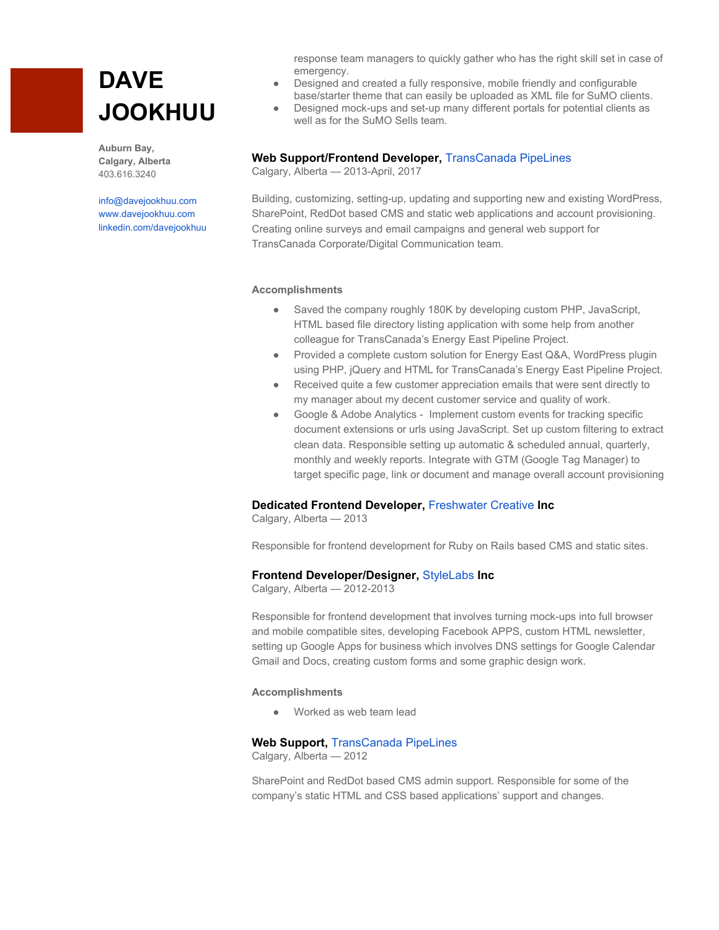# **DAVE JOOKHUU**

**Auburn Bay, Calgary, Alberta** 403.616.3240

[info@davejookhuu.com](mailto:info@davejookhuu.com) [www.davejookhuu.com](http://www.davejookhuu.com/) [linkedin.com/davejookhuu](https://ca.linkedin.com/in/dave-jookhuu-b9b24541) response team managers to quickly gather who has the right skill set in case of emergency.

- Designed and created a fully responsive, mobile friendly and configurable base/starter theme that can easily be uploaded as XML file for SuMO clients.
- Designed mock-ups and set-up many different portals for potential clients as well as for the SuMO Sells team.

### **Web Support/Frontend Developer,** [TransCanada](http://www.transcanada.com/) PipeLines

Calgary, Alberta — 2013-April, 2017

Building, customizing, setting-up, updating and supporting new and existing WordPress, SharePoint, RedDot based CMS and static web applications and account provisioning. Creating online surveys and email campaigns and general web support for TransCanada Corporate/Digital Communication team.

#### **Accomplishments**

- Saved the company roughly 180K by developing custom PHP, JavaScript, HTML based file directory listing application with some help from another colleague for TransCanada's Energy East Pipeline Project.
- Provided a complete custom solution for Energy East Q&A, WordPress plugin using PHP, jQuery and HTML for TransCanada's Energy East Pipeline Project.
- Received quite a few customer appreciation emails that were sent directly to my manager about my decent customer service and quality of work.
- Google & Adobe Analytics Implement custom events for tracking specific document extensions or urls using JavaScript. Set up custom filtering to extract clean data. Responsible setting up automatic & scheduled annual, quarterly, monthly and weekly reports. Integrate with GTM (Google Tag Manager) to target specific page, link or document and manage overall account provisioning

## **Dedicated Frontend Developer,** [Freshwater](http://freshwatercreative.ca/) Creative **Inc**

Calgary, Alberta — 2013

Responsible for frontend development for Ruby on Rails based CMS and static sites.

#### **Frontend Developer/Designer,** [StyleLabs](http://stylelabs.ca/) **Inc**

Calgary, Alberta — 2012-2013

Responsible for frontend development that involves turning mock-ups into full browser and mobile compatible sites, developing Facebook APPS, custom HTML newsletter, setting up Google Apps for business which involves DNS settings for Google Calendar Gmail and Docs, creating custom forms and some graphic design work.

#### **Accomplishments**

● Worked as web team lead

#### **Web Support,** [TransCanada](http://www.transcanada.com/) PipeLines

Calgary, Alberta — 2012

SharePoint and RedDot based CMS admin support. Responsible for some of the company's static HTML and CSS based applications' support and changes.